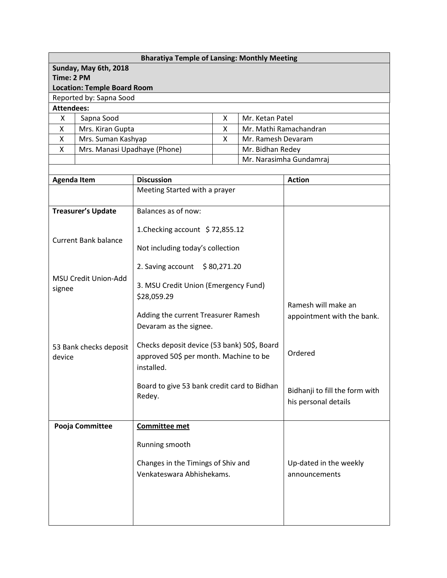| <b>Bharatiya Temple of Lansing: Monthly Meeting</b> |                    |                                                                                                     |  |                         |                                                        |  |  |  |  |
|-----------------------------------------------------|--------------------|-----------------------------------------------------------------------------------------------------|--|-------------------------|--------------------------------------------------------|--|--|--|--|
| Sunday, May 6th, 2018                               |                    |                                                                                                     |  |                         |                                                        |  |  |  |  |
| Time: 2 PM                                          |                    |                                                                                                     |  |                         |                                                        |  |  |  |  |
| <b>Location: Temple Board Room</b>                  |                    |                                                                                                     |  |                         |                                                        |  |  |  |  |
| Reported by: Sapna Sood                             |                    |                                                                                                     |  |                         |                                                        |  |  |  |  |
| <b>Attendees:</b>                                   |                    |                                                                                                     |  |                         |                                                        |  |  |  |  |
| X<br>Sapna Sood                                     |                    | X<br>Mr. Ketan Patel                                                                                |  | Mr. Mathi Ramachandran  |                                                        |  |  |  |  |
| X<br>Mrs. Kiran Gupta<br>Mrs. Suman Kashyap<br>Χ    |                    | X<br>Mr. Ramesh Devaram<br>X                                                                        |  |                         |                                                        |  |  |  |  |
| X                                                   |                    | Mrs. Manasi Upadhaye (Phone)<br>Mr. Bidhan Redey                                                    |  |                         |                                                        |  |  |  |  |
|                                                     |                    |                                                                                                     |  | Mr. Narasimha Gundamraj |                                                        |  |  |  |  |
|                                                     |                    |                                                                                                     |  |                         |                                                        |  |  |  |  |
|                                                     | <b>Agenda Item</b> | <b>Discussion</b>                                                                                   |  | <b>Action</b>           |                                                        |  |  |  |  |
|                                                     |                    | Meeting Started with a prayer                                                                       |  |                         |                                                        |  |  |  |  |
|                                                     |                    |                                                                                                     |  |                         |                                                        |  |  |  |  |
| <b>Treasurer's Update</b>                           |                    | Balances as of now:                                                                                 |  |                         |                                                        |  |  |  |  |
| <b>Current Bank balance</b>                         |                    | 1. Checking account \$72,855.12                                                                     |  |                         |                                                        |  |  |  |  |
|                                                     |                    | Not including today's collection                                                                    |  |                         |                                                        |  |  |  |  |
| MSU Credit Union-Add<br>signee                      |                    | 2. Saving account<br>\$80,271.20                                                                    |  |                         |                                                        |  |  |  |  |
|                                                     |                    | 3. MSU Credit Union (Emergency Fund)<br>\$28,059.29                                                 |  |                         |                                                        |  |  |  |  |
| 53 Bank checks deposit<br>device                    |                    | Adding the current Treasurer Ramesh<br>Devaram as the signee.                                       |  |                         | Ramesh will make an<br>appointment with the bank.      |  |  |  |  |
|                                                     |                    | Checks deposit device (53 bank) 50\$, Board<br>approved 50\$ per month. Machine to be<br>installed. |  |                         | Ordered                                                |  |  |  |  |
|                                                     |                    | Board to give 53 bank credit card to Bidhan<br>Redey.                                               |  |                         | Bidhanji to fill the form with<br>his personal details |  |  |  |  |
|                                                     | Pooja Committee    | Committee met                                                                                       |  |                         |                                                        |  |  |  |  |
|                                                     |                    | Running smooth                                                                                      |  |                         |                                                        |  |  |  |  |
|                                                     |                    |                                                                                                     |  |                         |                                                        |  |  |  |  |
|                                                     |                    | Changes in the Timings of Shiv and                                                                  |  |                         | Up-dated in the weekly                                 |  |  |  |  |
|                                                     |                    | Venkateswara Abhishekams.                                                                           |  |                         | announcements                                          |  |  |  |  |
|                                                     |                    |                                                                                                     |  |                         |                                                        |  |  |  |  |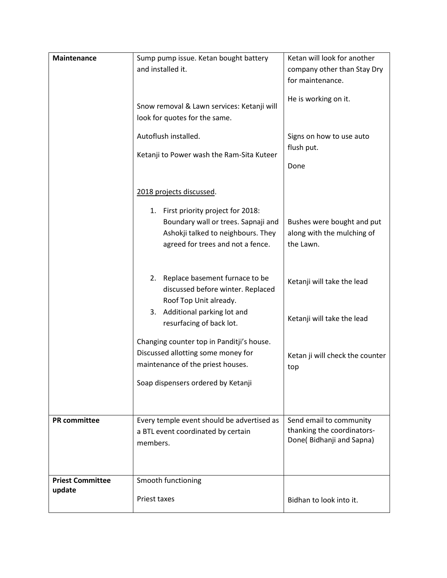| <b>Maintenance</b>                | Sump pump issue. Ketan bought battery<br>and installed it.<br>Snow removal & Lawn services: Ketanji will                                                                                                                                                                                                                                                                                                                              | Ketan will look for another<br>company other than Stay Dry<br>for maintenance.<br>He is working on it.                                                               |
|-----------------------------------|---------------------------------------------------------------------------------------------------------------------------------------------------------------------------------------------------------------------------------------------------------------------------------------------------------------------------------------------------------------------------------------------------------------------------------------|----------------------------------------------------------------------------------------------------------------------------------------------------------------------|
|                                   | look for quotes for the same.<br>Autoflush installed.<br>Ketanji to Power wash the Ram-Sita Kuteer                                                                                                                                                                                                                                                                                                                                    | Signs on how to use auto<br>flush put.<br>Done                                                                                                                       |
|                                   | 2018 projects discussed.<br>1. First priority project for 2018:<br>Boundary wall or trees. Sapnaji and<br>Ashokji talked to neighbours. They<br>agreed for trees and not a fence.<br>2. Replace basement furnace to be<br>discussed before winter. Replaced<br>Roof Top Unit already.<br>3. Additional parking lot and<br>resurfacing of back lot.<br>Changing counter top in Panditji's house.<br>Discussed allotting some money for | Bushes were bought and put<br>along with the mulching of<br>the Lawn.<br>Ketanji will take the lead<br>Ketanji will take the lead<br>Ketan ji will check the counter |
|                                   | maintenance of the priest houses.<br>Soap dispensers ordered by Ketanji                                                                                                                                                                                                                                                                                                                                                               | top                                                                                                                                                                  |
| <b>PR</b> committee               | Every temple event should be advertised as<br>a BTL event coordinated by certain<br>members.                                                                                                                                                                                                                                                                                                                                          | Send email to community<br>thanking the coordinators-<br>Done(Bidhanji and Sapna)                                                                                    |
| <b>Priest Committee</b><br>update | Smooth functioning<br><b>Priest taxes</b>                                                                                                                                                                                                                                                                                                                                                                                             | Bidhan to look into it.                                                                                                                                              |